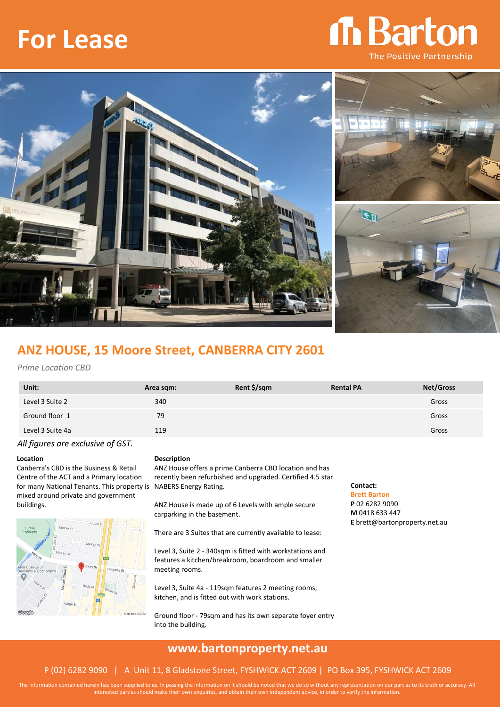# **For Lease**

# Th Barton **The Positive Partnership**



## **ANZ HOUSE, 15 Moore Street, CANBERRA CITY 2601**

#### *Prime Location CBD*

| Unit:                                                                                                                                                                                                                                                                                                                                                                                | Area sqm: | Rent \$/sqm | <b>Rental PA</b> | <b>Net/Gross</b> |
|--------------------------------------------------------------------------------------------------------------------------------------------------------------------------------------------------------------------------------------------------------------------------------------------------------------------------------------------------------------------------------------|-----------|-------------|------------------|------------------|
| Level 3 Suite 2                                                                                                                                                                                                                                                                                                                                                                      | 340       |             |                  | Gross            |
| Ground floor 1                                                                                                                                                                                                                                                                                                                                                                       | 79        |             |                  | Gross            |
| Level 3 Suite 4a                                                                                                                                                                                                                                                                                                                                                                     | 119       |             |                  | Gross            |
| $\overline{a}$ $\overline{b}$ $\overline{c}$ $\overline{c}$ $\overline{c}$ $\overline{c}$ $\overline{c}$ $\overline{c}$ $\overline{c}$ $\overline{c}$ $\overline{c}$ $\overline{c}$ $\overline{c}$ $\overline{c}$ $\overline{c}$ $\overline{c}$ $\overline{c}$ $\overline{c}$ $\overline{c}$ $\overline{c}$ $\overline{c}$ $\overline{c}$ $\overline{c}$ $\overline{c}$ $\overline{$ |           |             |                  |                  |

*All figures are exclusive of GST.*

Canberra's CBD is the Business & Retail Centre of the ACT and a Primary location for many National Tenants. This property is NABERS Energy Rating. mixed around private and government buildings.



#### **Location Description**

ANZ House offers a prime Canberra CBD location and has recently been refurbished and upgraded. Certified 4.5 star

ANZ House is made up of 6 Levels with ample secure carparking in the basement.

There are 3 Suites that are currently available to lease:

Level 3, Suite 2 - 340sqm is fitted with workstations and features a kitchen/breakroom, boardroom and smaller meeting rooms.

Level 3, Suite 4a - 119sqm features 2 meeting rooms, kitchen, and is fitted out with work stations.

Ground floor - 79sqm and has its own separate foyer entry into the building.

### **Contact:**

**Brett Barton P** 02 6282 9090 **M** 0418 633 447 **E** brett@bartonproperty.net.au

### **www.bartonproperty.net.au**

#### P (02) 6282 9090 | A Unit 11, 8 Gladstone Street, FYSHWICK ACT 2609 | PO Box 395, FYSHWICK ACT 2609

The information contained herein has been supplied to us. In passing the information on it should be noted that we do so without any representation on our part as to its truth or accuracy. All interested parties should make their own enquiries, and obtain their own independent advice, in order to verify the information.